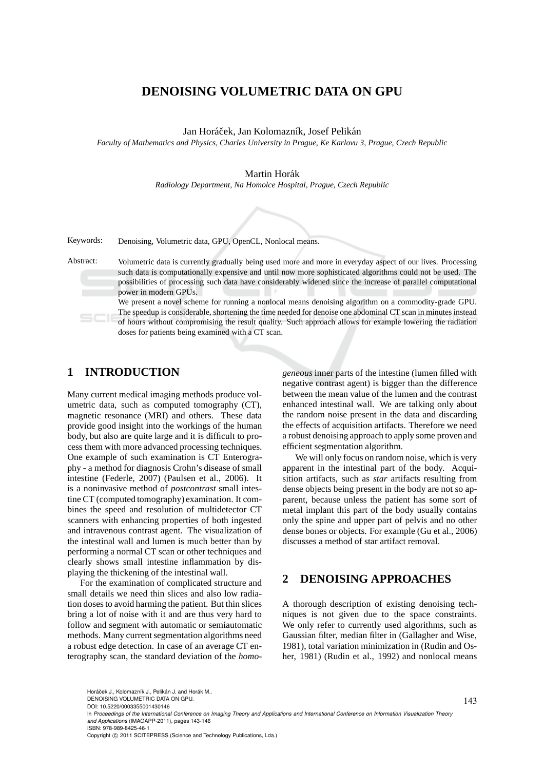# **DENOISING VOLUMETRIC DATA ON GPU**

Jan Horáček, Jan Kolomazník, Josef Pelikán

*Faculty of Mathematics and Physics, Charles University in Prague, Ke Karlovu 3, Prague, Czech Republic*

#### Martin Horák

*Radiology Department, Na Homolce Hospital, Prague, Czech Republic*



Keywords: Denoising, Volumetric data, GPU, OpenCL, Nonlocal means.

Abstract: Volumetric data is currently gradually being used more and more in everyday aspect of our lives. Processing such data is computationally expensive and until now more sophisticated algorithms could not be used. The possibilities of processing such data have considerably widened since the increase of parallel computational power in modern GPUs.

We present a novel scheme for running a nonlocal means denoising algorithm on a commodity-grade GPU. The speedup is considerable, shortening the time needed for denoise one abdominal CT scan in minutes instead of hours without compromising the result quality. Such approach allows for example lowering the radiation doses for patients being examined with a CT scan.

# **1 INTRODUCTION**

Many current medical imaging methods produce volumetric data, such as computed tomography (CT), magnetic resonance (MRI) and others. These data provide good insight into the workings of the human body, but also are quite large and it is difficult to process them with more advanced processing techniques. One example of such examination is CT Enterography - a method for diagnosis Crohn's disease of small intestine (Federle, 2007) (Paulsen et al., 2006). It is a noninvasive method of *postcontrast* small intestine CT (computed tomography) examination. It combines the speed and resolution of multidetector CT scanners with enhancing properties of both ingested and intravenous contrast agent. The visualization of the intestinal wall and lumen is much better than by performing a normal CT scan or other techniques and clearly shows small intestine inflammation by displaying the thickening of the intestinal wall.

For the examination of complicated structure and small details we need thin slices and also low radiation doses to avoid harming the patient. But thin slices bring a lot of noise with it and are thus very hard to follow and segment with automatic or semiautomatic methods. Many current segmentation algorithms need a robust edge detection. In case of an average CT enterography scan, the standard deviation of the *homo-*

*geneous* inner parts of the intestine (lumen filled with negative contrast agent) is bigger than the difference between the mean value of the lumen and the contrast enhanced intestinal wall. We are talking only about the random noise present in the data and discarding the effects of acquisition artifacts. Therefore we need a robust denoising approach to apply some proven and efficient segmentation algorithm.

We will only focus on random noise, which is very apparent in the intestinal part of the body. Acquisition artifacts, such as *star* artifacts resulting from dense objects being present in the body are not so apparent, because unless the patient has some sort of metal implant this part of the body usually contains only the spine and upper part of pelvis and no other dense bones or objects. For example (Gu et al., 2006) discusses a method of star artifact removal.

# **2 DENOISING APPROACHES**

A thorough description of existing denoising techniques is not given due to the space constraints. We only refer to currently used algorithms, such as Gaussian filter, median filter in (Gallagher and Wise, 1981), total variation minimization in (Rudin and Osher, 1981) (Rudin et al., 1992) and nonlocal means

Horáček J., Kolomazník J., Pelikán J. and Horák M.,

DOI: 10.5220/0003355001430146

Copyright © 2011 SCITEPRESS (Science and Technology Publications, Lda.)

DENOISING VOLUMETRIC DATA ON GPU.

In *Proceedings of the International Conference on Imaging Theory and Applications and International Conference on Information Visualization Theory and Applications* (IMAGAPP-2011), pages 143-146 ISBN: 978-989-8425-46-1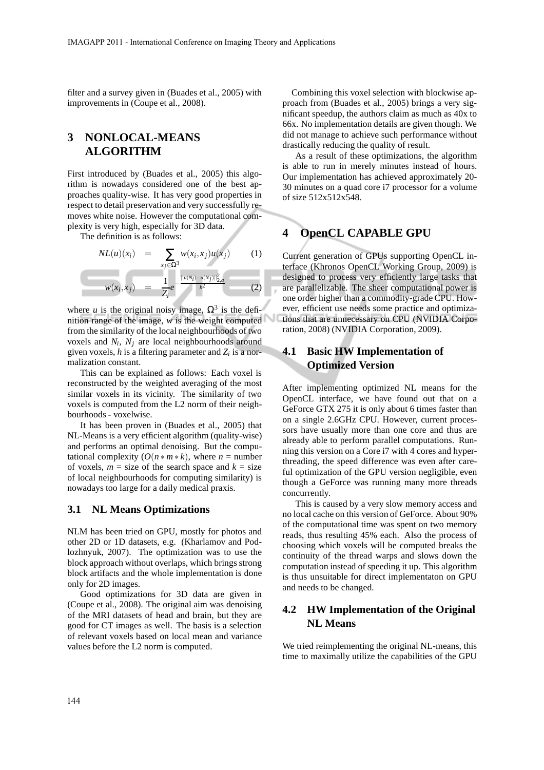filter and a survey given in (Buades et al., 2005) with improvements in (Coupe et al., 2008).

# **3 NONLOCAL-MEANS ALGORITHM**

First introduced by (Buades et al., 2005) this algorithm is nowadays considered one of the best approaches quality-wise. It has very good properties in respect to detail preservation and very successfully removes white noise. However the computational complexity is very high, especially for 3D data.

The definition is as follows:

$$
NL(u)(x_i) = \sum_{x_j \in \Omega^3} w(x_i, x_j) u(x_j)
$$
(1)  

$$
w(x_i, x_j) = \frac{1}{Z_i} e^{-\frac{||u(N_i) - u(N_j)||_{2,a}^2}{\hbar^2}}
$$
(2)

where *u* is the original noisy image,  $\Omega^3$  is the definition range of the image, *w* is the weight computed from the similarity of the local neighbourhoods of two voxels and *N<sup>i</sup>* , *N<sup>j</sup>* are local neighbourhoods around given voxels,  $h$  is a filtering parameter and  $Z_i$  is a normalization constant.

This can be explained as follows: Each voxel is reconstructed by the weighted averaging of the most similar voxels in its vicinity. The similarity of two voxels is computed from the L2 norm of their neighbourhoods - voxelwise.

It has been proven in (Buades et al., 2005) that NL-Means is a very efficient algorithm (quality-wise) and performs an optimal denoising. But the computational complexity  $(O(n*m*k),$  where  $n =$  number of voxels,  $m =$  size of the search space and  $k =$  size of local neighbourhoods for computing similarity) is nowadays too large for a daily medical praxis.

#### **3.1 NL Means Optimizations**

NLM has been tried on GPU, mostly for photos and other 2D or 1D datasets, e.g. (Kharlamov and Podlozhnyuk, 2007). The optimization was to use the block approach without overlaps, which brings strong block artifacts and the whole implementation is done only for 2D images.

Good optimizations for 3D data are given in (Coupe et al., 2008). The original aim was denoising of the MRI datasets of head and brain, but they are good for CT images as well. The basis is a selection of relevant voxels based on local mean and variance values before the L2 norm is computed.

Combining this voxel selection with blockwise approach from (Buades et al., 2005) brings a very significant speedup, the authors claim as much as 40x to 66x. No implementation details are given though. We did not manage to achieve such performance without drastically reducing the quality of result.

As a result of these optimizations, the algorithm is able to run in merely minutes instead of hours. Our implementation has achieved approximately 20- 30 minutes on a quad core i7 processor for a volume of size 512x512x548.

### **4 OpenCL CAPABLE GPU**

Current generation of GPUs supporting OpenCL interface (Khronos OpenCL Working Group, 2009) is designed to process very efficiently large tasks that are parallelizable. The sheer computational power is one order higher than a commodity-grade CPU. However, efficient use needs some practice and optimizations that are unnecessary on CPU (NVIDIA Corporation, 2008) (NVIDIA Corporation, 2009).

### **4.1 Basic HW Implementation of Optimized Version**

J

After implementing optimized NL means for the OpenCL interface, we have found out that on a GeForce GTX 275 it is only about 6 times faster than on a single 2.6GHz CPU. However, current processors have usually more than one core and thus are already able to perform parallel computations. Running this version on a Core i7 with 4 cores and hyperthreading, the speed difference was even after careful optimization of the GPU version negligible, even though a GeForce was running many more threads concurrently.

This is caused by a very slow memory access and no local cache on this version of GeForce. About 90% of the computational time was spent on two memory reads, thus resulting 45% each. Also the process of choosing which voxels will be computed breaks the continuity of the thread warps and slows down the computation instead of speeding it up. This algorithm is thus unsuitable for direct implementaton on GPU and needs to be changed.

### **4.2 HW Implementation of the Original NL Means**

We tried reimplementing the original NL-means, this time to maximally utilize the capabilities of the GPU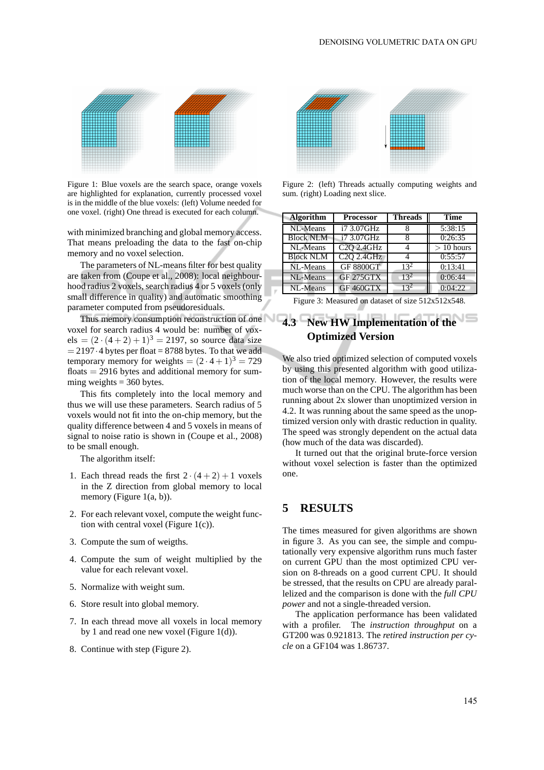

Figure 1: Blue voxels are the search space, orange voxels are highlighted for explanation, currently processed voxel is in the middle of the blue voxels: (left) Volume needed for one voxel. (right) One thread is executed for each column.

with minimized branching and global memory access. That means preloading the data to the fast on-chip memory and no voxel selection.

The parameters of NL-means filter for best quality are taken from (Coupe et al., 2008): local neighbourhood radius 2 voxels, search radius 4 or 5 voxels (only small difference in quality) and automatic smoothing parameter computed from pseudoresiduals.

Thus memory consumption reconstruction of one voxel for search radius 4 would be: number of vox $els = (2 \cdot (4 + 2) + 1)^3 = 2197$ , so source data size  $= 2197.4$  bytes per float = 8788 bytes. To that we add temporary memory for weights =  $(2 \cdot 4 + 1)^3 = 729$ floats  $= 2916$  bytes and additional memory for summing weights  $= 360$  bytes.

This fits completely into the local memory and thus we will use these parameters. Search radius of 5 voxels would not fit into the on-chip memory, but the quality difference between 4 and 5 voxels in means of signal to noise ratio is shown in (Coupe et al., 2008) to be small enough.

The algorithm itself:

- 1. Each thread reads the first  $2 \cdot (4 + 2) + 1$  voxels in the Z direction from global memory to local memory (Figure 1(a, b)).
- 2. For each relevant voxel, compute the weight function with central voxel (Figure 1(c)).
- 3. Compute the sum of weigths.
- 4. Compute the sum of weight multiplied by the value for each relevant voxel.
- 5. Normalize with weight sum.
- 6. Store result into global memory.
- 7. In each thread move all voxels in local memory by 1 and read one new voxel (Figure 1(d)).
- 8. Continue with step (Figure 2).



Figure 2: (left) Threads actually computing weights and sum. (right) Loading next slice.

| <b>Algorithm</b> | <b>Processor</b>                                | <b>Threads</b>  | <b>Time</b>  |
|------------------|-------------------------------------------------|-----------------|--------------|
| NL-Means         | i7 3.07GHz                                      |                 | 5:38:15      |
| <b>Block NLM</b> | i7 3.07GHz                                      | 8               | 0:26:35      |
| NL-Means         | C <sub>2</sub> Q <sub>2</sub> .4GH <sub>z</sub> | 4               | $> 10$ hours |
| <b>Block NLM</b> | C <sub>2</sub> Q 2.4GH <sub>z</sub>             | 4               | 0:55:57      |
| NL-Means         | <b>GF 8800GT</b>                                | $13^2$          | 0:13:41      |
| NL-Means         | GF 275GTX                                       | $13^2$          | 0:06:44      |
| NL-Means         | GF 460GTX                                       | 13 <sup>2</sup> | 0:04:22      |

Figure 3: Measured on dataset of size 512x512x548.

# **4.3 New HW Implementation of the Optimized Version**

We also tried optimized selection of computed voxels by using this presented algorithm with good utilization of the local memory. However, the results were much worse than on the CPU. The algorithm has been running about 2x slower than unoptimized version in 4.2. It was running about the same speed as the unoptimized version only with drastic reduction in quality. The speed was strongly dependent on the actual data (how much of the data was discarded).

It turned out that the original brute-force version without voxel selection is faster than the optimized one.

### **5 RESULTS**

The times measured for given algorithms are shown in figure 3. As you can see, the simple and computationally very expensive algorithm runs much faster on current GPU than the most optimized CPU version on 8-threads on a good current CPU. It should be stressed, that the results on CPU are already parallelized and the comparison is done with the *full CPU power* and not a single-threaded version.

The application performance has been validated with a profiler. The *instruction throughput* on a GT200 was 0.921813. The *retired instruction per cycle* on a GF104 was 1.86737.